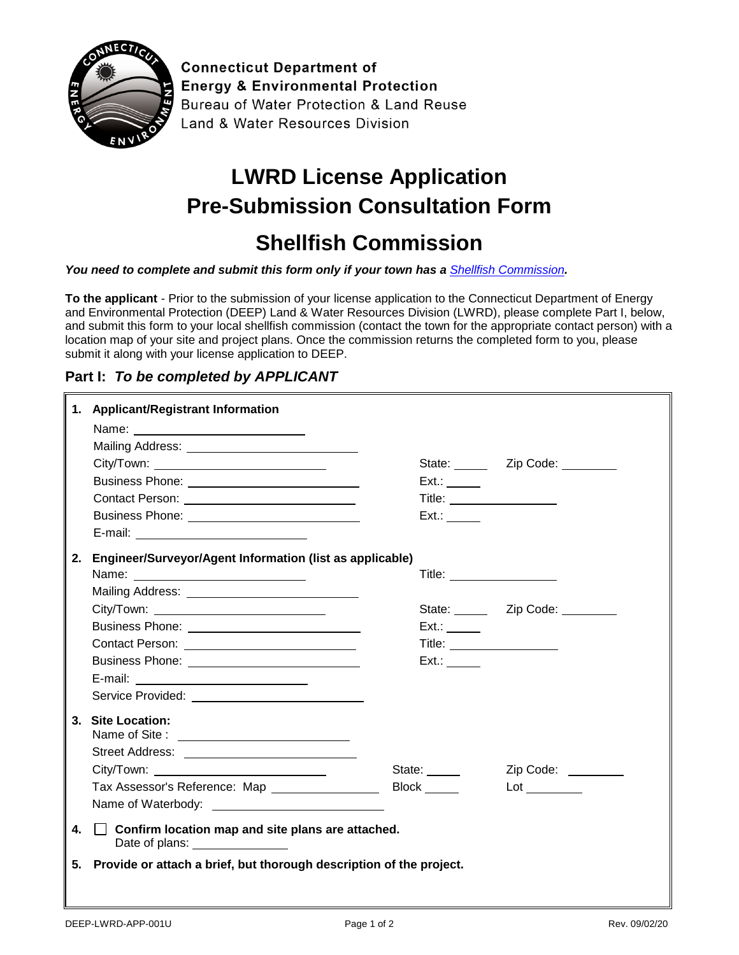

**Connecticut Department of Energy & Environmental Protection** Bureau of Water Protection & Land Reuse Land & Water Resources Division

## **LWRD License Application Pre-Submission Consultation Form**

## **Shellfish Commission**

*You need to complete and submit this form only if your town has a [Shellfish Commission](https://portal.ct.gov/-/media/DEEP/Permits_and_Licenses/Land_Use_Permits/Long_Island_Sound_Permits/shellfishcommissionpdf.pdf?la=en).*

**To the applicant** - Prior to the submission of your license application to the Connecticut Department of Energy and Environmental Protection (DEEP) Land & Water Resources Division (LWRD), please complete Part I, below, and submit this form to your local shellfish commission (contact the town for the appropriate contact person) with a location map of your site and project plans. Once the commission returns the completed form to you, please submit it along with your license application to DEEP.

## **Part I:** *To be completed by APPLICANT*

|    | 1. Applicant/Registrant Information                                                         |                              |                                   |
|----|---------------------------------------------------------------------------------------------|------------------------------|-----------------------------------|
|    | Name: _________________________                                                             |                              |                                   |
|    | Mailing Address: Mail and Mailing Address:                                                  |                              |                                   |
|    | City/Town: __________________________________                                               |                              | State: _______ Zip Code: ________ |
|    |                                                                                             | Ext.:                        |                                   |
|    |                                                                                             | Title:                       |                                   |
|    |                                                                                             | Ext.:                        |                                   |
|    | E-mail: _____________________________                                                       |                              |                                   |
| 2. | Engineer/Surveyor/Agent Information (list as applicable)                                    |                              |                                   |
|    |                                                                                             | Title: _____________________ |                                   |
|    |                                                                                             |                              |                                   |
|    | City/Town: __________________________________                                               |                              | State: Zip Code:                  |
|    |                                                                                             | Ext.:                        |                                   |
|    | Contact Person: _____________________________                                               | Title: ________________      |                                   |
|    |                                                                                             | Ext.:                        |                                   |
|    | E-mail: ____________________________                                                        |                              |                                   |
|    |                                                                                             |                              |                                   |
|    | 3. Site Location:                                                                           |                              |                                   |
|    |                                                                                             |                              |                                   |
|    |                                                                                             | State:                       | Zip Code:                         |
|    | Tax Assessor's Reference: Map __________________                                            | Block ______                 | $\mathsf{Lot} \_\_\_\_\_\_\_\$    |
|    |                                                                                             |                              |                                   |
| 4. | $\Box$ Confirm location map and site plans are attached.<br>Date of plans: ________________ |                              |                                   |
| 5. | Provide or attach a brief, but thorough description of the project.                         |                              |                                   |